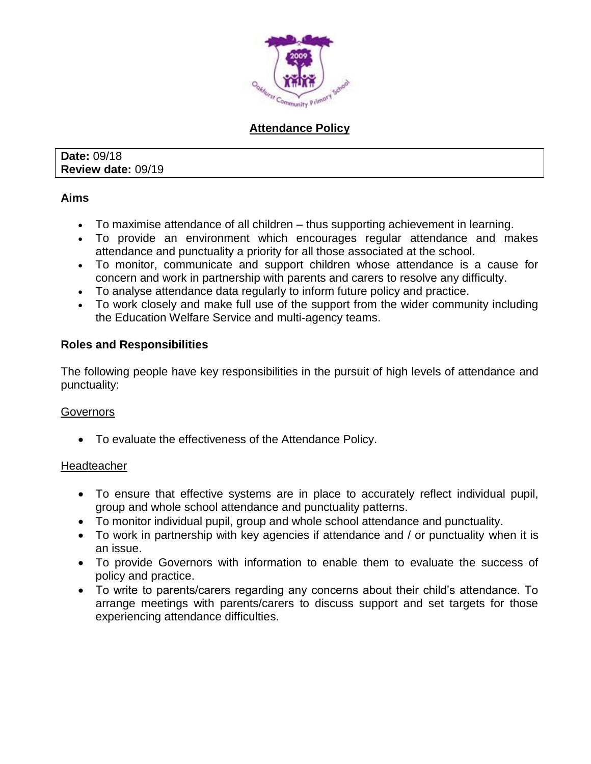

# **Attendance Policy**

**Date:** 09/18 **Review date:** 09/19

## **Aims**

- To maximise attendance of all children thus supporting achievement in learning.
- To provide an environment which encourages regular attendance and makes attendance and punctuality a priority for all those associated at the school.
- To monitor, communicate and support children whose attendance is a cause for concern and work in partnership with parents and carers to resolve any difficulty.
- To analyse attendance data regularly to inform future policy and practice.
- To work closely and make full use of the support from the wider community including the Education Welfare Service and multi-agency teams.

## **Roles and Responsibilities**

The following people have key responsibilities in the pursuit of high levels of attendance and punctuality:

# **Governors**

To evaluate the effectiveness of the Attendance Policy.

## **Headteacher**

- To ensure that effective systems are in place to accurately reflect individual pupil, group and whole school attendance and punctuality patterns.
- To monitor individual pupil, group and whole school attendance and punctuality.
- To work in partnership with key agencies if attendance and / or punctuality when it is an issue.
- To provide Governors with information to enable them to evaluate the success of policy and practice.
- To write to parents/carers regarding any concerns about their child's attendance. To arrange meetings with parents/carers to discuss support and set targets for those experiencing attendance difficulties.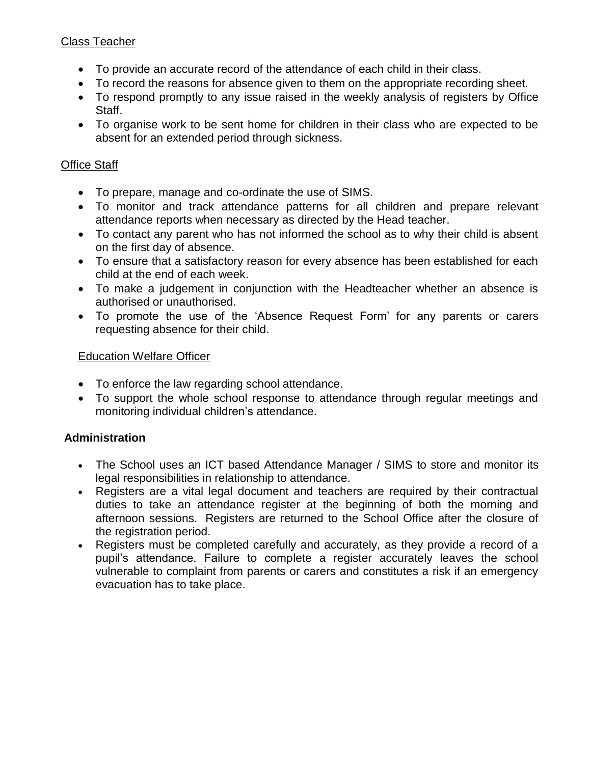# Class Teacher

- To provide an accurate record of the attendance of each child in their class.
- To record the reasons for absence given to them on the appropriate recording sheet.
- To respond promptly to any issue raised in the weekly analysis of registers by Office Staff.
- To organise work to be sent home for children in their class who are expected to be absent for an extended period through sickness.

# Office Staff

- To prepare, manage and co-ordinate the use of SIMS.
- To monitor and track attendance patterns for all children and prepare relevant attendance reports when necessary as directed by the Head teacher.
- To contact any parent who has not informed the school as to why their child is absent on the first day of absence.
- To ensure that a satisfactory reason for every absence has been established for each child at the end of each week.
- To make a judgement in conjunction with the Headteacher whether an absence is authorised or unauthorised.
- To promote the use of the 'Absence Request Form' for any parents or carers requesting absence for their child.

## Education Welfare Officer

- To enforce the law regarding school attendance.
- To support the whole school response to attendance through regular meetings and monitoring individual children's attendance.

# **Administration**

- The School uses an ICT based Attendance Manager / SIMS to store and monitor its legal responsibilities in relationship to attendance.
- Registers are a vital legal document and teachers are required by their contractual duties to take an attendance register at the beginning of both the morning and afternoon sessions. Registers are returned to the School Office after the closure of the registration period.
- Registers must be completed carefully and accurately, as they provide a record of a pupil's attendance. Failure to complete a register accurately leaves the school vulnerable to complaint from parents or carers and constitutes a risk if an emergency evacuation has to take place.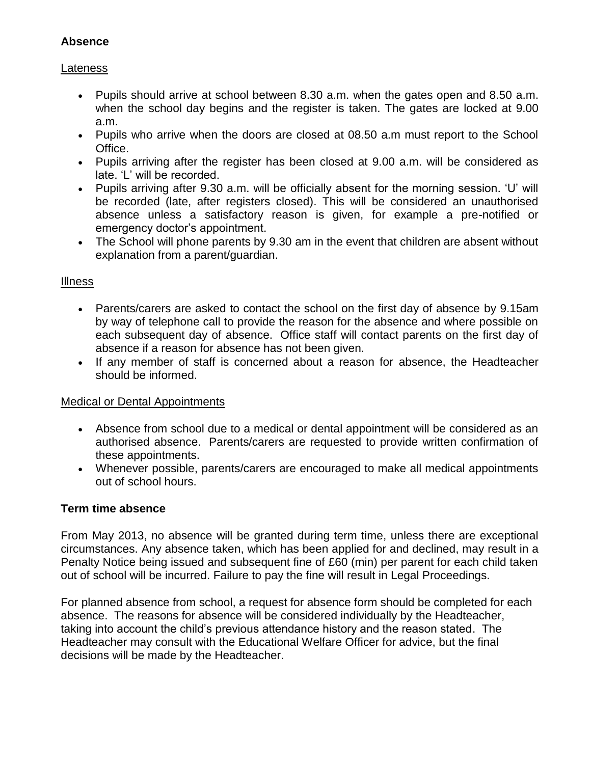# **Absence**

## Lateness

- Pupils should arrive at school between 8.30 a.m. when the gates open and 8.50 a.m. when the school day begins and the register is taken. The gates are locked at 9.00 a.m.
- Pupils who arrive when the doors are closed at 08.50 a.m must report to the School Office.
- Pupils arriving after the register has been closed at 9.00 a.m. will be considered as late. 'L' will be recorded.
- Pupils arriving after 9.30 a.m. will be officially absent for the morning session. 'U' will be recorded (late, after registers closed). This will be considered an unauthorised absence unless a satisfactory reason is given, for example a pre-notified or emergency doctor's appointment.
- The School will phone parents by 9.30 am in the event that children are absent without explanation from a parent/guardian.

## Illness

- Parents/carers are asked to contact the school on the first day of absence by 9.15am by way of telephone call to provide the reason for the absence and where possible on each subsequent day of absence. Office staff will contact parents on the first day of absence if a reason for absence has not been given.
- If any member of staff is concerned about a reason for absence, the Headteacher should be informed.

# Medical or Dental Appointments

- Absence from school due to a medical or dental appointment will be considered as an authorised absence. Parents/carers are requested to provide written confirmation of these appointments.
- Whenever possible, parents/carers are encouraged to make all medical appointments out of school hours.

# **Term time absence**

From May 2013, no absence will be granted during term time, unless there are exceptional circumstances. Any absence taken, which has been applied for and declined, may result in a Penalty Notice being issued and subsequent fine of £60 (min) per parent for each child taken out of school will be incurred. Failure to pay the fine will result in Legal Proceedings.

For planned absence from school, a request for absence form should be completed for each absence. The reasons for absence will be considered individually by the Headteacher, taking into account the child's previous attendance history and the reason stated. The Headteacher may consult with the Educational Welfare Officer for advice, but the final decisions will be made by the Headteacher.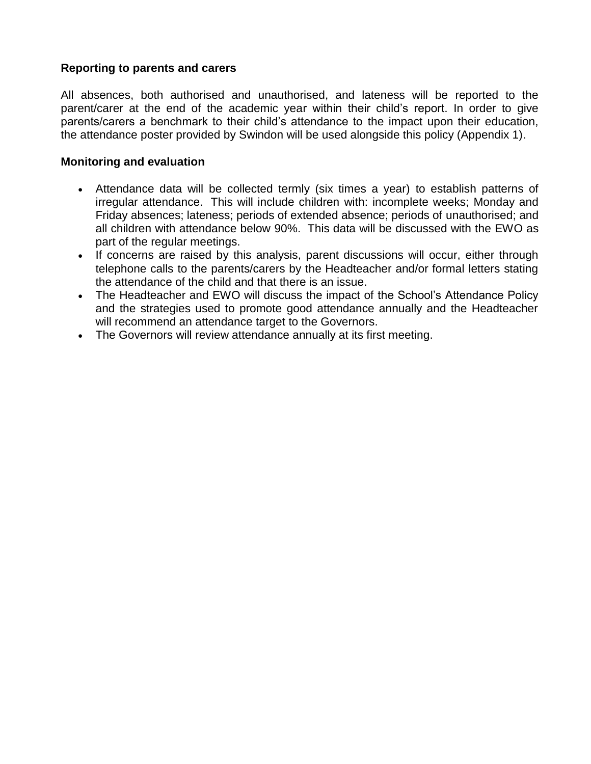## **Reporting to parents and carers**

All absences, both authorised and unauthorised, and lateness will be reported to the parent/carer at the end of the academic year within their child's report. In order to give parents/carers a benchmark to their child's attendance to the impact upon their education, the attendance poster provided by Swindon will be used alongside this policy (Appendix 1).

## **Monitoring and evaluation**

- Attendance data will be collected termly (six times a year) to establish patterns of irregular attendance. This will include children with: incomplete weeks; Monday and Friday absences; lateness; periods of extended absence; periods of unauthorised; and all children with attendance below 90%. This data will be discussed with the EWO as part of the regular meetings.
- If concerns are raised by this analysis, parent discussions will occur, either through telephone calls to the parents/carers by the Headteacher and/or formal letters stating the attendance of the child and that there is an issue.
- The Headteacher and EWO will discuss the impact of the School's Attendance Policy and the strategies used to promote good attendance annually and the Headteacher will recommend an attendance target to the Governors.
- The Governors will review attendance annually at its first meeting.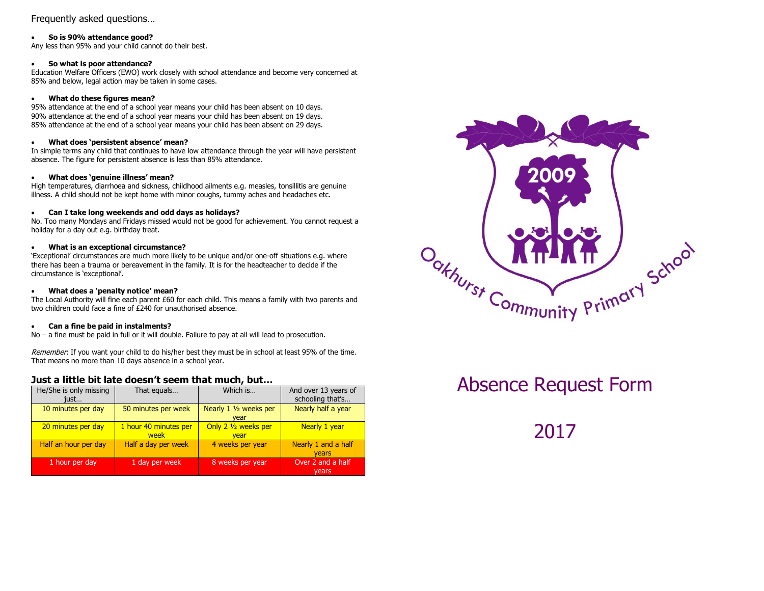## Frequently asked questions…

#### **So is 90% attendance good?**

Any less than 95% and your child cannot do their best.

#### **So what is poor attendance?**

Education Welfare Officers (EWO) work closely with school attendance and become very concerned at 85% and below, legal action may be taken in some cases.

## **What do these figures mean?**

95% attendance at the end of a school year means your child has been absent on 10 days. 90% attendance at the end of a school year means your child has been absent on 19 days. 85% attendance at the end of a school year means your child has been absent on 29 days.

#### **What does 'persistent absence' mean?**

In simple terms any child that continues to have low attendance through the year will have persistent absence. The figure for persistent absence is less than 85% attendance.

## **What does 'genuine illness' mean?**

High temperatures, diarrhoea and sickness, childhood ailments e.g. measles, tonsillitis are genuine illness. A child should not be kept home with minor coughs, tummy aches and headaches etc.

## **Can I take long weekends and odd days as holidays?**

No. Too many Mondays and Fridays missed would not be good for achievement. You cannot request a holiday for a day out e.g. birthday treat.

## **What is an exceptional circumstance?**

'Exceptional' circumstances are much more likely to be unique and/or one-off situations e.g. where there has been a trauma or bereavement in the family. It is for the headteacher to decide if the circumstance is 'exceptional'.

## **What does a 'penalty notice' mean?**

The Local Authority will fine each parent £60 for each child. This means a family with two parents and two children could face a fine of £240 for unauthorised absence.

## **Can a fine be paid in instalments?**

No – a fine must be paid in full or it will double. Failure to pay at all will lead to prosecution.

Remember: If you want your child to do his/her best they must be in school at least 95% of the time. That means no more than 10 days absence in a school year.

## **Just a little bit late doesn't seem that much, but…**

| He/She is only missing<br>just | That equals                   | Which is                              | And over 13 years of<br>schooling that's |
|--------------------------------|-------------------------------|---------------------------------------|------------------------------------------|
| 10 minutes per day             | 50 minutes per week           | Nearly 1 1/2 weeks per<br>vear        | Nearly half a year                       |
| 20 minutes per day             | 1 hour 40 minutes per<br>week | Only $2\frac{1}{2}$ weeks per<br>vear | Nearly 1 year                            |
| Half an hour per day           | Half a day per week           | 4 weeks per year                      | Nearly 1 and a half<br><b>vears</b>      |
| 1 hour per day                 | 1 day per week                | 8 weeks per year                      | Over 2 and a half<br>vears               |



# Absence Request Form

2017